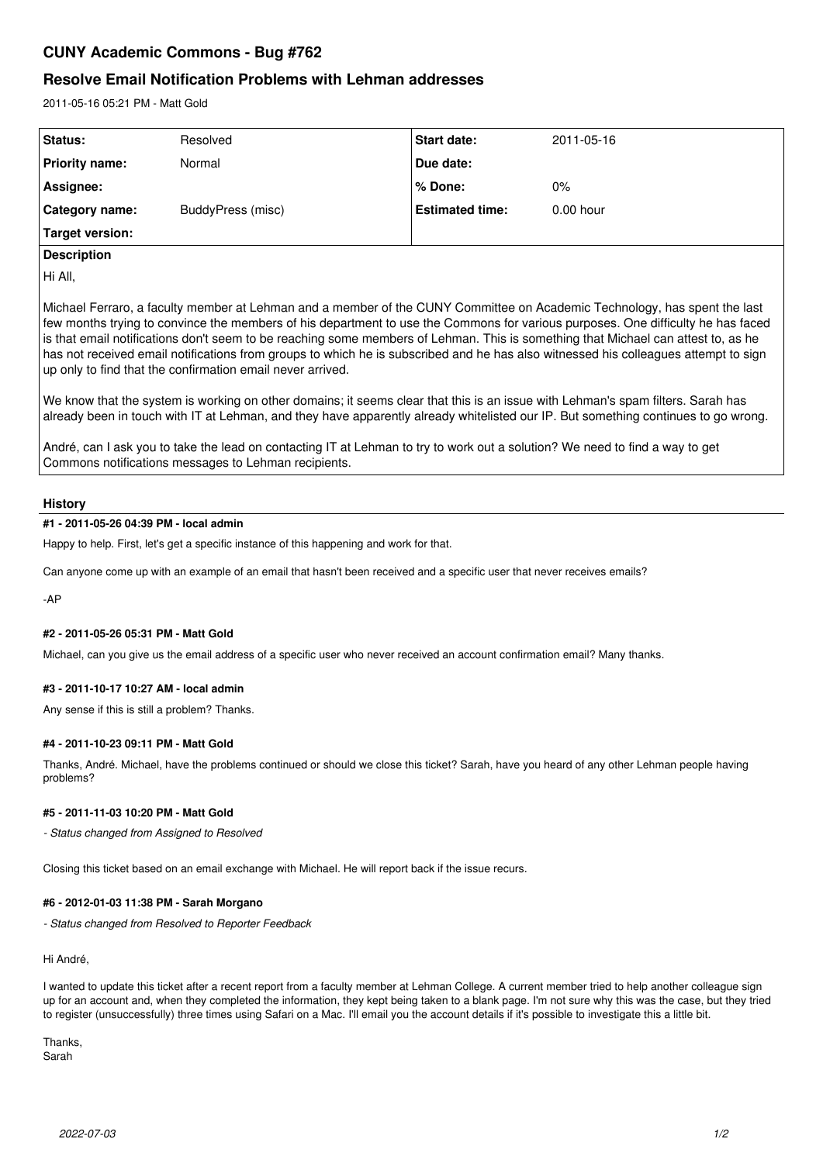# **CUNY Academic Commons - Bug #762**

## **Resolve Email Notification Problems with Lehman addresses**

2011-05-16 05:21 PM - Matt Gold

| Status:               | Resolved          | <b>Start date:</b>     | 2011-05-16  |
|-----------------------|-------------------|------------------------|-------------|
| Priority name:        | Normal            | Due date:              |             |
| Assignee:             |                   | l % Done:              | 0%          |
| <b>Category name:</b> | BuddyPress (misc) | <b>Estimated time:</b> | $0.00$ hour |
| Target version:       |                   |                        |             |

## **Description**

Hi All,

Michael Ferraro, a faculty member at Lehman and a member of the CUNY Committee on Academic Technology, has spent the last few months trying to convince the members of his department to use the Commons for various purposes. One difficulty he has faced is that email notifications don't seem to be reaching some members of Lehman. This is something that Michael can attest to, as he has not received email notifications from groups to which he is subscribed and he has also witnessed his colleagues attempt to sign up only to find that the confirmation email never arrived.

We know that the system is working on other domains; it seems clear that this is an issue with Lehman's spam filters. Sarah has already been in touch with IT at Lehman, and they have apparently already whitelisted our IP. But something continues to go wrong.

André, can I ask you to take the lead on contacting IT at Lehman to try to work out a solution? We need to find a way to get Commons notifications messages to Lehman recipients.

## **History**

## **#1 - 2011-05-26 04:39 PM - local admin**

Happy to help. First, let's get a specific instance of this happening and work for that.

Can anyone come up with an example of an email that hasn't been received and a specific user that never receives emails?

-AP

## **#2 - 2011-05-26 05:31 PM - Matt Gold**

Michael, can you give us the email address of a specific user who never received an account confirmation email? Many thanks.

## **#3 - 2011-10-17 10:27 AM - local admin**

Any sense if this is still a problem? Thanks.

## **#4 - 2011-10-23 09:11 PM - Matt Gold**

Thanks, André. Michael, have the problems continued or should we close this ticket? Sarah, have you heard of any other Lehman people having problems?

## **#5 - 2011-11-03 10:20 PM - Matt Gold**

*- Status changed from Assigned to Resolved*

Closing this ticket based on an email exchange with Michael. He will report back if the issue recurs.

## **#6 - 2012-01-03 11:38 PM - Sarah Morgano**

*- Status changed from Resolved to Reporter Feedback*

Hi André,

I wanted to update this ticket after a recent report from a faculty member at Lehman College. A current member tried to help another colleague sign up for an account and, when they completed the information, they kept being taken to a blank page. I'm not sure why this was the case, but they tried to register (unsuccessfully) three times using Safari on a Mac. I'll email you the account details if it's possible to investigate this a little bit.

Thanks, Sarah